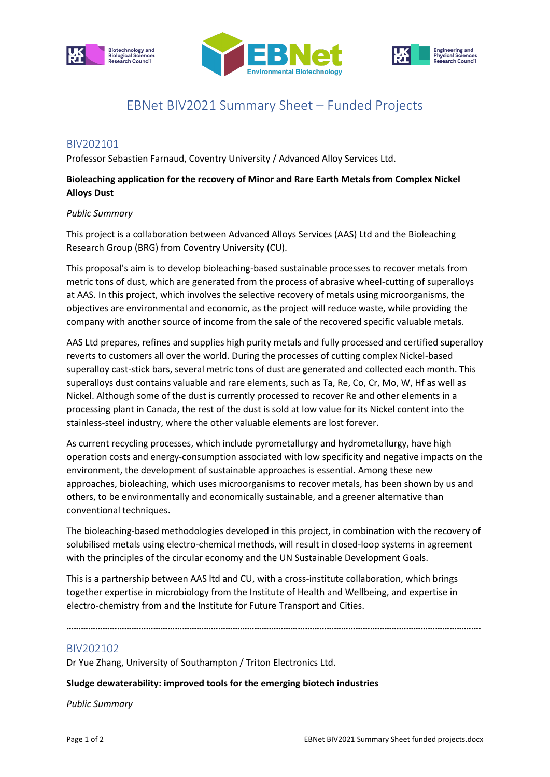





# EBNet BIV2021 Summary Sheet – Funded Projects

## BIV202101

Professor Sebastien Farnaud, Coventry University / Advanced Alloy Services Ltd.

## **Bioleaching application for the recovery of Minor and Rare Earth Metals from Complex Nickel Alloys Dust**

#### *Public Summary*

This project is a collaboration between Advanced Alloys Services (AAS) Ltd and the Bioleaching Research Group (BRG) from Coventry University (CU).

This proposal's aim is to develop bioleaching-based sustainable processes to recover metals from metric tons of dust, which are generated from the process of abrasive wheel-cutting of superalloys at AAS. In this project, which involves the selective recovery of metals using microorganisms, the objectives are environmental and economic, as the project will reduce waste, while providing the company with another source of income from the sale of the recovered specific valuable metals.

AAS Ltd prepares, refines and supplies high purity metals and fully processed and certified superalloy reverts to customers all over the world. During the processes of cutting complex Nickel-based superalloy cast-stick bars, several metric tons of dust are generated and collected each month. This superalloys dust contains valuable and rare elements, such as Ta, Re, Co, Cr, Mo, W, Hf as well as Nickel. Although some of the dust is currently processed to recover Re and other elements in a processing plant in Canada, the rest of the dust is sold at low value for its Nickel content into the stainless-steel industry, where the other valuable elements are lost forever.

As current recycling processes, which include pyrometallurgy and hydrometallurgy, have high operation costs and energy-consumption associated with low specificity and negative impacts on the environment, the development of sustainable approaches is essential. Among these new approaches, bioleaching, which uses microorganisms to recover metals, has been shown by us and others, to be environmentally and economically sustainable, and a greener alternative than conventional techniques.

The bioleaching-based methodologies developed in this project, in combination with the recovery of solubilised metals using electro-chemical methods, will result in closed-loop systems in agreement with the principles of the circular economy and the UN Sustainable Development Goals.

This is a partnership between AAS ltd and CU, with a cross-institute collaboration, which brings together expertise in microbiology from the Institute of Health and Wellbeing, and expertise in electro-chemistry from and the Institute for Future Transport and Cities.

**……………………………………………………………………………………………………………………………………………………….**

### BIV202102

Dr Yue Zhang, University of Southampton / Triton Electronics Ltd.

#### **Sludge dewaterability: improved tools for the emerging biotech industries**

*Public Summary*